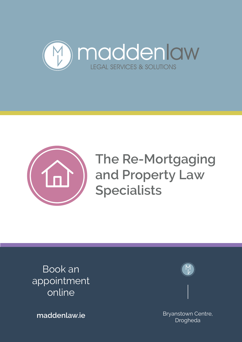



**The Re-Mortgaging The Re-Mortgaging and Property Law and Property Law Specialists Specialists** 

Book an appointment online



**maddenlaw.ie** Bryanstown Centre, Drogheda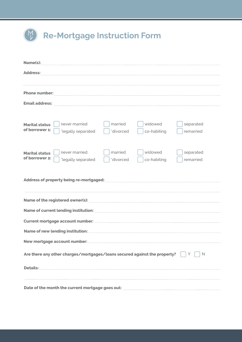|  | Re-Mortgage Instruction Form |  |  |
|--|------------------------------|--|--|
|--|------------------------------|--|--|

| Name(s):                                                                                                                                                   |  |  |  |  |  |  |
|------------------------------------------------------------------------------------------------------------------------------------------------------------|--|--|--|--|--|--|
| Address:                                                                                                                                                   |  |  |  |  |  |  |
|                                                                                                                                                            |  |  |  |  |  |  |
| Phone number: www.communications.com/www.communications.com/www.communications.com/www.communications.com/www.com                                          |  |  |  |  |  |  |
| <b>Email address:</b>                                                                                                                                      |  |  |  |  |  |  |
|                                                                                                                                                            |  |  |  |  |  |  |
| widowed<br>never married<br>married<br>separated<br><b>Marital status</b><br>of borrower 1:<br>*divorced<br>*legally separated<br>co-habiting<br>remarried |  |  |  |  |  |  |
| never married<br>married<br>widowed<br>separated<br><b>Marital status</b><br>of borrower 2:<br>*divorced<br>*legally separated<br>co-habiting<br>remarried |  |  |  |  |  |  |
|                                                                                                                                                            |  |  |  |  |  |  |
| Name of the registered owner(s): <b>manufacture and contract to the registered owner(s):</b>                                                               |  |  |  |  |  |  |
|                                                                                                                                                            |  |  |  |  |  |  |
|                                                                                                                                                            |  |  |  |  |  |  |
|                                                                                                                                                            |  |  |  |  |  |  |
| New mortgage account number:                                                                                                                               |  |  |  |  |  |  |
| Are there any other charges/mortgages/loans secured against the property?<br>N                                                                             |  |  |  |  |  |  |
|                                                                                                                                                            |  |  |  |  |  |  |
|                                                                                                                                                            |  |  |  |  |  |  |
| Date of the month the current mortgage goes out:                                                                                                           |  |  |  |  |  |  |